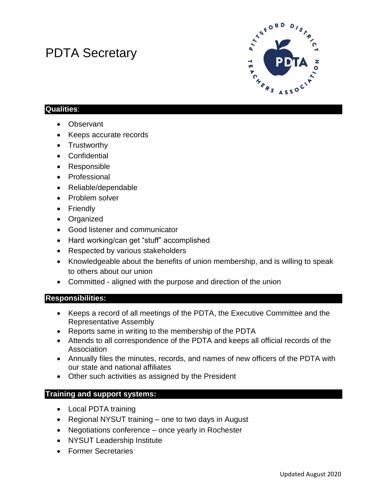# PDTA Secretary



## **Qualities**:

- Observant
- Keeps accurate records
- Trustworthy
- Confidential
- Responsible
- Professional
- Reliable/dependable
- Problem solver
- Friendly
- Organized
- Good listener and communicator
- Hard working/can get "stuff" accomplished
- Respected by various stakeholders
- Knowledgeable about the benefits of union membership, and is willing to speak to others about our union
- Committed aligned with the purpose and direction of the union

#### **Responsibilities:**

- Keeps a record of all meetings of the PDTA, the Executive Committee and the Representative Assembly
- Reports same in writing to the membership of the PDTA
- Attends to all correspondence of the PDTA and keeps all official records of the Association
- Annually files the minutes, records, and names of new officers of the PDTA with our state and national affiliates
- Other such activities as assigned by the President

## **Training and support systems:**

- Local PDTA training
- Regional NYSUT training one to two days in August
- Negotiations conference once yearly in Rochester
- NYSUT Leadership Institute
- Former Secretaries